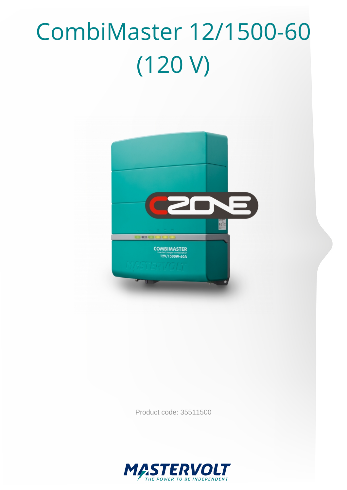# CombiMaster 12/1500-60 (120 V)



Product code: 35511500

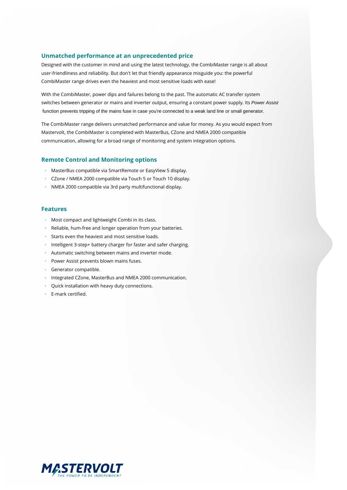#### **Unmatched performance at an unprecedented price**

Designed with the customer in mind and using the latest technology, the CombiMaster range is all about user-friendliness and reliability. But don't let that friendly appearance misguide you: the powerful CombiMaster range drives even the heaviest and most sensitive loads with ease!

With the CombiMaster, power dips and failures belong to the past. The automatic AC transfer system switches between generator or mains and inverter output, ensuring a constant power supply. Its Power Assist function prevents tripping of the mains fuse in case you're connected to a weak land line or small generator.

The CombiMaster range delivers unmatched performance and value for money. As you would expect from Mastervolt, the CombiMaster is completed with MasterBus, CZone and NMEA 2000 compatible communication, allowing for a broad range of monitoring and system integration options.

#### **Remote Control and Monitoring options**

- · MasterBus compatible via SmartRemote or EasyView 5 display.
- · CZone / NMEA 2000 compatible via Touch 5 or Touch 10 display.
- · NMEA 2000 compatible via 3rd party multifunctional display.

#### **Features**

- · Most compact and lightweight Combi in its class.
- Reliable, hum-free and longer operation from your batteries.
- · Starts even the heaviest and most sensitive loads.
- · Intelligent 3-step+ battery charger for faster and safer charging.
- · Automatic switching between mains and inverter mode.
- Power Assist prevents blown mains fuses.
- · Generator compatible.
- · Integrated CZone, MasterBus and NMEA 2000 communication.
- · Quick installation with heavy duty connections.
- · E-mark certified.